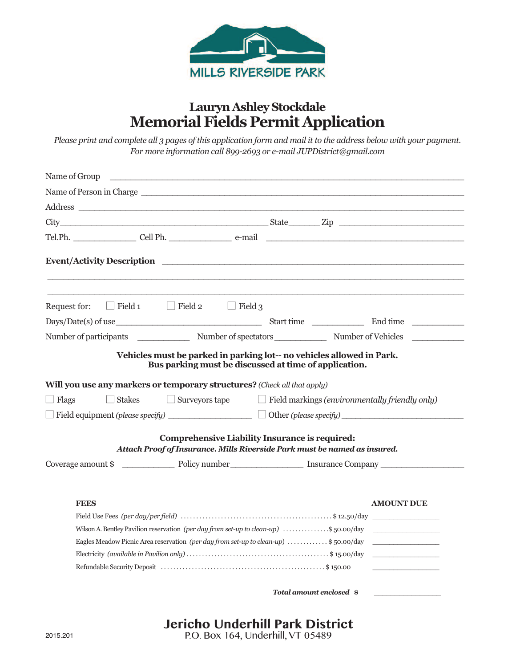

# **Lauryn Ashley Stockdale Memorial Fields Permit Application**

*Please print and complete all 3 pages of this application form and mail it to the address below with your payment. For more information call 899-2693 or e-mail JUPDistrict@gmail.com*

| Name of Group                                                                                                                                                                                                                                                                                                          |                                                                                                         |                                                                                                                   |
|------------------------------------------------------------------------------------------------------------------------------------------------------------------------------------------------------------------------------------------------------------------------------------------------------------------------|---------------------------------------------------------------------------------------------------------|-------------------------------------------------------------------------------------------------------------------|
| Name of Person in Charge                                                                                                                                                                                                                                                                                               |                                                                                                         |                                                                                                                   |
|                                                                                                                                                                                                                                                                                                                        |                                                                                                         |                                                                                                                   |
|                                                                                                                                                                                                                                                                                                                        |                                                                                                         |                                                                                                                   |
|                                                                                                                                                                                                                                                                                                                        |                                                                                                         |                                                                                                                   |
|                                                                                                                                                                                                                                                                                                                        |                                                                                                         |                                                                                                                   |
| $\Box$ Field 1 $\Box$ Field 2 $\Box$ Field 3<br>Request for:                                                                                                                                                                                                                                                           |                                                                                                         |                                                                                                                   |
|                                                                                                                                                                                                                                                                                                                        |                                                                                                         |                                                                                                                   |
| Number of participants Number of spectators Number of Vehicles                                                                                                                                                                                                                                                         |                                                                                                         |                                                                                                                   |
| Will you use any markers or temporary structures? (Check all that apply)<br>$\Box$ Surveyors tape<br>$\Box$ Flags<br>$\Box$ Stakes<br>$\Box$ Field equipment (please specify)<br>Attach Proof of Insurance. Mills Riverside Park must be named as insured.                                                             | Bus parking must be discussed at time of application.<br>Comprehensive Liability Insurance is required: | $\Box$ Field markings (environmentally friendly only)                                                             |
| Coverage amount \$                                                                                                                                                                                                                                                                                                     |                                                                                                         |                                                                                                                   |
| <b>FEES</b><br>Wilson A. Bentley Pavilion reservation (per day from set-up to clean-up) \$50.00/day<br>Eagles Meadow Picnic Area reservation (per day from set-up to clean-up) \$50.00/day<br>Electricity (available in Pavilion only) $\dots \dots \dots \dots \dots \dots \dots \dots \dots \dots \dots \$ 15.00/day |                                                                                                         | <b>AMOUNT DUE</b><br>the control of the control of the control of<br>the control of the control of the control of |

*Total amount enclosed* **\$**

 $\_$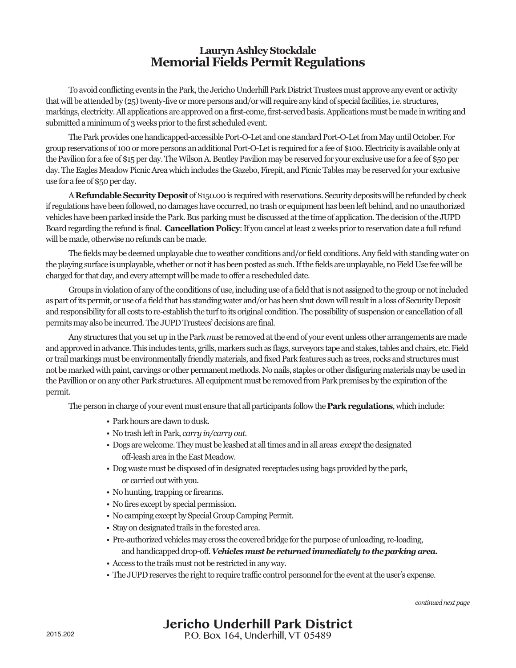## **Lauryn AshleyStockdale Memorial Fields Permit Regulations**

To avoid conflicting events in the Park, the Jericho Underhill Park District Trustees must approve any event or activity that will be attended by (25) twenty-five or more persons and/or will require any kind of special facilities, i.e. structures, markings, electricity. All applications are approved on a first-come, first-served basis. Applications must be made in writing and submitted a minimum of 3 weeks prior to the first scheduled event.

The Park provides one handicapped-accessible Port-O-Let and one standard Port-O-Let from May until October. For group reservations of 100 or more persons an additional Port-O-Let is required for a fee of \$100. Electricity is available only at the Pavilion for a fee of \$15 per day. The Wilson A. Bentley Pavilion may be reserved for your exclusive use for a fee of \$50 per day. The Eagles Meadow Picnic Area which includes the Gazebo, Firepit, and Picnic Tables may be reserved for your exclusive use for a fee of \$50 per day.

A Refundable Security Deposit of \$150.00 is required with reservations. Security deposits will be refunded by check if regulations have been followed, no damages have occurred, no trash or equipment has been left behind, and no unauthorized vehicles have been parked inside the Park. Bus parking must be discussed at the time of application. The decision of the JUPD Board regarding the refund is final. **Cancellation Policy**: If you cancel at least 2 weeks prior to reservation date a full refund will be made, otherwise no refunds can be made.

The fields may be deemed unplayable due to weather conditions and/or field conditions. Any field with standing water on the playing surface is unplayable, whether or not it has been posted as such. If the fields are unplayable, no Field Use fee will be charged for that day, and every attempt will be made to offer a rescheduled date.

Groups in violation of any of the conditions of use, including use of a field that is not assigned to the group or not included as part of its permit, or use of a field that has standing water and/or has been shut down will result in a loss of Security Deposit and responsibility for all costs to re-establish the turf to its original condition. The possibility of suspension or cancellation of all permitsmay also be incurred.The JUPDTrustees'decisions are final.

Any structures that you set up in the Park *must* be removed at the end of your event unless other arrangements are made and approved in advance. This includes tents, grills, markers such as flags, surveyors tape and stakes, tables and chairs, etc. Field or trail markings must be environmentally friendly materials, and fixed Park features such as trees, rocks and structures must not be marked with paint, carvings or other permanent methods. No nails, staples or other disfiguring materials may be used in the Pavillion or on any other Park structures. All equipment must be removed from Park premises by the expiration of the permit.

The person in charge of your event must ensure that all participants follow the **Park regulations**, which include:

- Park hours are dawn to dusk.
- No trash left in Park, *carry in/carry out.*
- Dogs are welcome. They must be leashed at all times and in all areas *except* the designated off-leasharea intheEastMeadow.
- Dog waste must be disposed of in designated receptacles using bags provided by the park, or carried out with you.
- No hunting, trapping or firearms.
- No fires except by special permission.
- No camping except by Special Group Camping Permit.
- Stay on designated trails in the forested area.
- Pre-authorized vehicles may cross the covered bridge for the purpose of unloading, re-loading, and handicapped drop-off. *Vehicles must be returned immediately to the parking area.*
- Access to the trails must not be restricted in any way.
- The JUPD reserves the right to require traffic control personnel for the event at the user's expense.